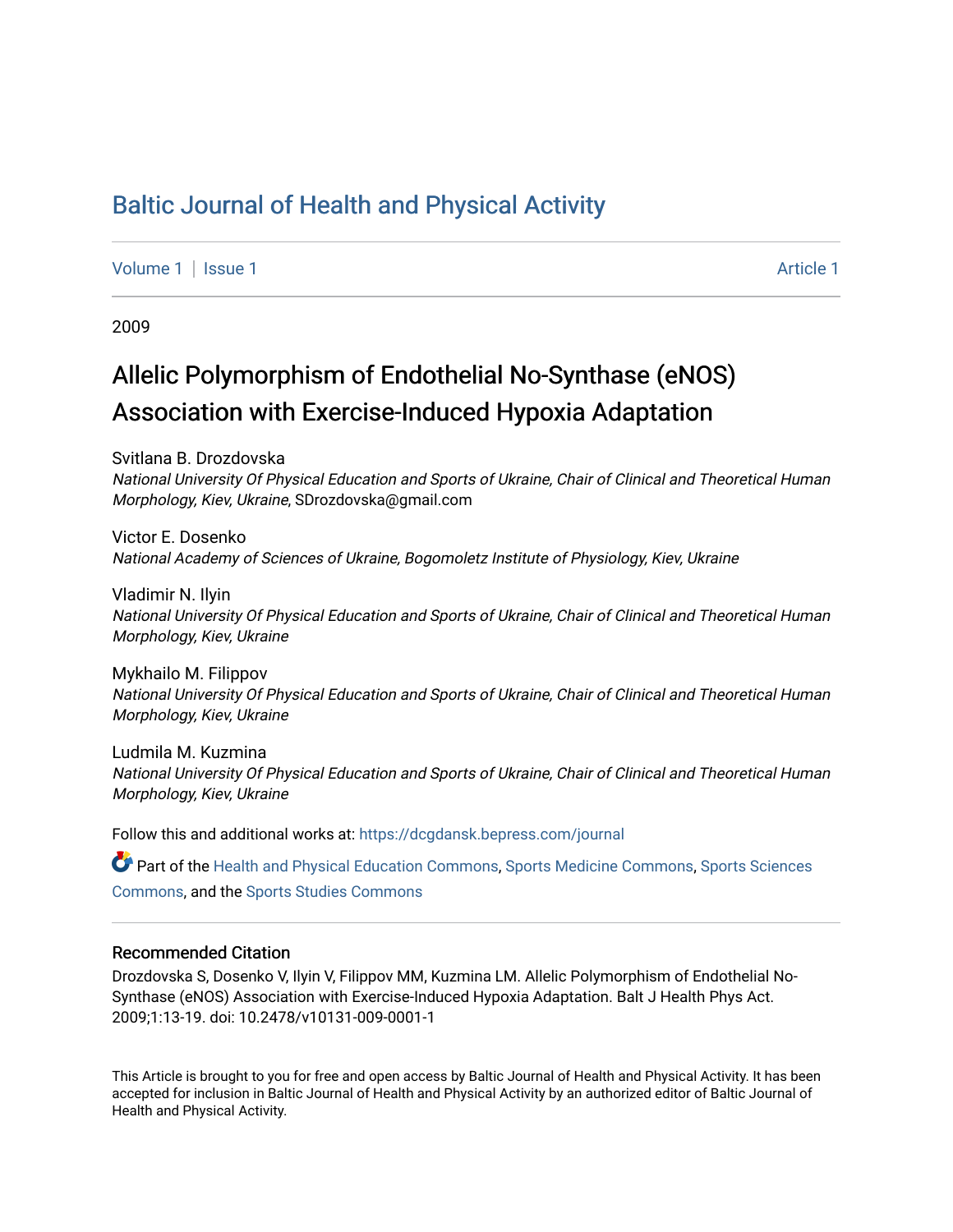## [Baltic Journal of Health and Physical Activity](https://dcgdansk.bepress.com/journal)

[Volume 1](https://dcgdansk.bepress.com/journal/vol1) | [Issue 1](https://dcgdansk.bepress.com/journal/vol1/iss1) Article 1

2009

# Allelic Polymorphism of Endothelial No-Synthase (eNOS) Association with Exercise-Induced Hypoxia Adaptation

Svitlana B. Drozdovska National University Of Physical Education and Sports of Ukraine, Chair of Clinical and Theoretical Human Morphology, Kiev, Ukraine, SDrozdovska@gmail.com

Victor E. Dosenko National Academy of Sciences of Ukraine, Bogomoletz Institute of Physiology, Kiev, Ukraine

Vladimir N. Ilyin National University Of Physical Education and Sports of Ukraine, Chair of Clinical and Theoretical Human Morphology, Kiev, Ukraine

Mykhailo M. Filippov National University Of Physical Education and Sports of Ukraine, Chair of Clinical and Theoretical Human Morphology, Kiev, Ukraine

Ludmila M. Kuzmina National University Of Physical Education and Sports of Ukraine, Chair of Clinical and Theoretical Human Morphology, Kiev, Ukraine

Follow this and additional works at: [https://dcgdansk.bepress.com/journal](https://dcgdansk.bepress.com/journal?utm_source=dcgdansk.bepress.com%2Fjournal%2Fvol1%2Fiss1%2F1&utm_medium=PDF&utm_campaign=PDFCoverPages)

Part of the [Health and Physical Education Commons](http://network.bepress.com/hgg/discipline/1327?utm_source=dcgdansk.bepress.com%2Fjournal%2Fvol1%2Fiss1%2F1&utm_medium=PDF&utm_campaign=PDFCoverPages), [Sports Medicine Commons,](http://network.bepress.com/hgg/discipline/1331?utm_source=dcgdansk.bepress.com%2Fjournal%2Fvol1%2Fiss1%2F1&utm_medium=PDF&utm_campaign=PDFCoverPages) [Sports Sciences](http://network.bepress.com/hgg/discipline/759?utm_source=dcgdansk.bepress.com%2Fjournal%2Fvol1%2Fiss1%2F1&utm_medium=PDF&utm_campaign=PDFCoverPages) [Commons](http://network.bepress.com/hgg/discipline/759?utm_source=dcgdansk.bepress.com%2Fjournal%2Fvol1%2Fiss1%2F1&utm_medium=PDF&utm_campaign=PDFCoverPages), and the [Sports Studies Commons](http://network.bepress.com/hgg/discipline/1198?utm_source=dcgdansk.bepress.com%2Fjournal%2Fvol1%2Fiss1%2F1&utm_medium=PDF&utm_campaign=PDFCoverPages) 

#### Recommended Citation

Drozdovska S, Dosenko V, Ilyin V, Filippov MM, Kuzmina LM. Allelic Polymorphism of Endothelial No-Synthase (eNOS) Association with Exercise-Induced Hypoxia Adaptation. Balt J Health Phys Act. 2009;1:13-19. doi: 10.2478/v10131-009-0001-1

This Article is brought to you for free and open access by Baltic Journal of Health and Physical Activity. It has been accepted for inclusion in Baltic Journal of Health and Physical Activity by an authorized editor of Baltic Journal of Health and Physical Activity.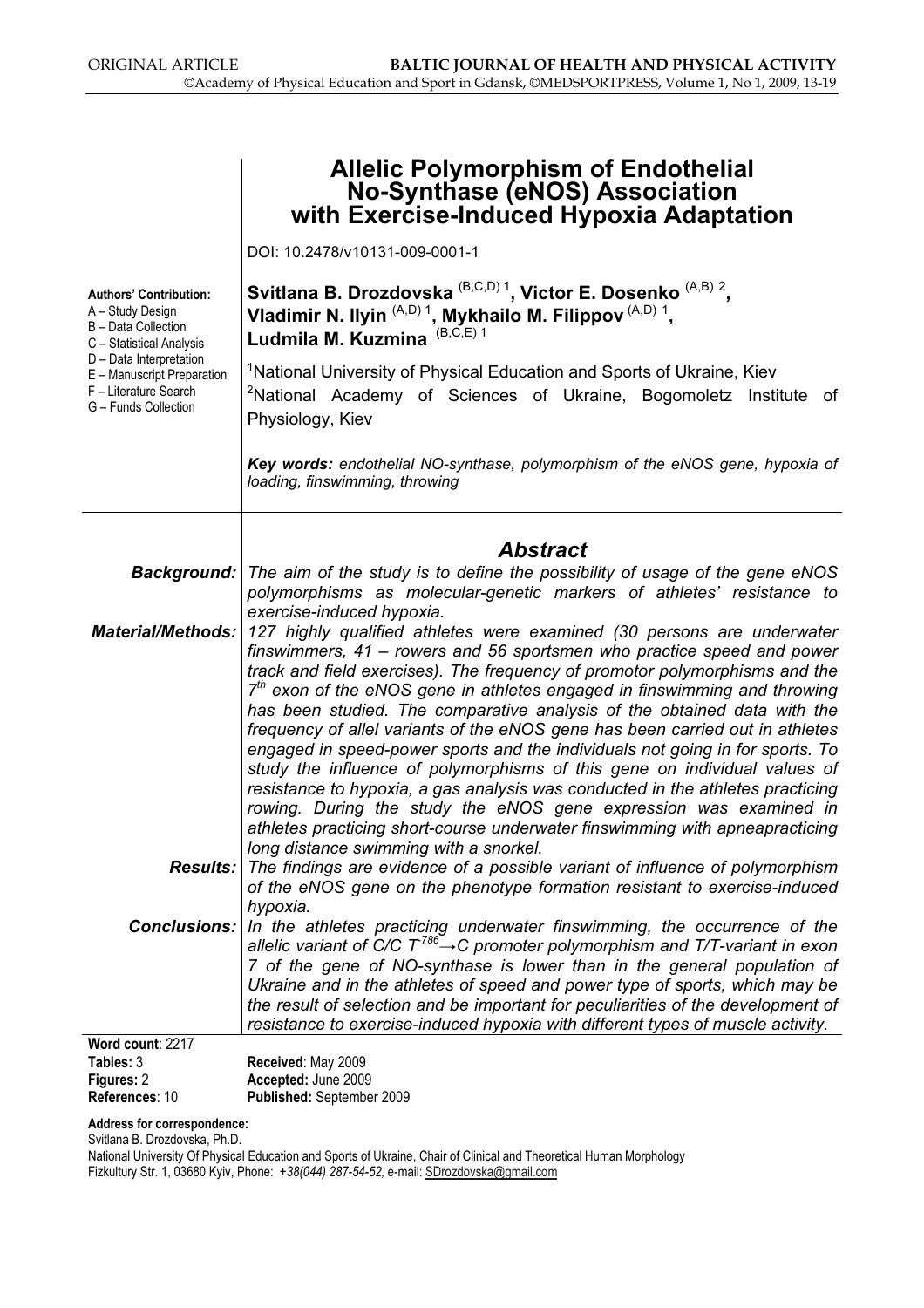|                                                                                                                                                                                                                                                                                                                                                                                                                                                                                                                                                                                                                                                                                                                                                                                                                                                                                                                                                        | <b>Allelic Polymorphism of Endothelial</b><br><b>No-Synthase (eNOS) Association</b><br>with Exercise-Induced Hypoxia Adaptation                                                                                                                                                                                                                                                                                                                                                                           |  |  |  |
|--------------------------------------------------------------------------------------------------------------------------------------------------------------------------------------------------------------------------------------------------------------------------------------------------------------------------------------------------------------------------------------------------------------------------------------------------------------------------------------------------------------------------------------------------------------------------------------------------------------------------------------------------------------------------------------------------------------------------------------------------------------------------------------------------------------------------------------------------------------------------------------------------------------------------------------------------------|-----------------------------------------------------------------------------------------------------------------------------------------------------------------------------------------------------------------------------------------------------------------------------------------------------------------------------------------------------------------------------------------------------------------------------------------------------------------------------------------------------------|--|--|--|
|                                                                                                                                                                                                                                                                                                                                                                                                                                                                                                                                                                                                                                                                                                                                                                                                                                                                                                                                                        | DOI: 10.2478/v10131-009-0001-1                                                                                                                                                                                                                                                                                                                                                                                                                                                                            |  |  |  |
| <b>Authors' Contribution:</b><br>A - Study Design<br>B - Data Collection<br>C - Statistical Analysis                                                                                                                                                                                                                                                                                                                                                                                                                                                                                                                                                                                                                                                                                                                                                                                                                                                   | Svitlana B. Drozdovska $^{(B,C,D)}$ <sup>1</sup> , Victor E. Dosenko $^{(A,B)}$ <sup>2</sup> ,<br>Vladimir N. Ilyin (A,D) <sup>1</sup> , Mykhailo M. Filippov <sup>(A,D)</sup> <sup>1</sup> ,<br>Ludmila M. Kuzmina <sup>(B,C,E)1</sup>                                                                                                                                                                                                                                                                   |  |  |  |
| D - Data Interpretation<br>E - Manuscript Preparation<br>F - Literature Search<br>G - Funds Collection                                                                                                                                                                                                                                                                                                                                                                                                                                                                                                                                                                                                                                                                                                                                                                                                                                                 | <sup>1</sup> National University of Physical Education and Sports of Ukraine, Kiev<br><sup>2</sup> National Academy of Sciences of Ukraine, Bogomoletz Institute of<br>Physiology, Kiev                                                                                                                                                                                                                                                                                                                   |  |  |  |
|                                                                                                                                                                                                                                                                                                                                                                                                                                                                                                                                                                                                                                                                                                                                                                                                                                                                                                                                                        | Key words: endothelial NO-synthase, polymorphism of the eNOS gene, hypoxia of<br>loading, finswimming, throwing                                                                                                                                                                                                                                                                                                                                                                                           |  |  |  |
|                                                                                                                                                                                                                                                                                                                                                                                                                                                                                                                                                                                                                                                                                                                                                                                                                                                                                                                                                        |                                                                                                                                                                                                                                                                                                                                                                                                                                                                                                           |  |  |  |
|                                                                                                                                                                                                                                                                                                                                                                                                                                                                                                                                                                                                                                                                                                                                                                                                                                                                                                                                                        | <b>Abstract</b><br><b>Background:</b> The aim of the study is to define the possibility of usage of the gene eNOS<br>polymorphisms as molecular-genetic markers of athletes' resistance to<br>exercise-induced hypoxia.                                                                                                                                                                                                                                                                                   |  |  |  |
| <b>Material/Methods:</b><br>127 highly qualified athletes were examined (30 persons are underwater<br>finswimmers, 41 – rowers and 56 sportsmen who practice speed and power<br>track and field exercises). The frequency of promotor polymorphisms and the<br>$7th$ exon of the eNOS gene in athletes engaged in finswimming and throwing<br>has been studied. The comparative analysis of the obtained data with the<br>frequency of allel variants of the eNOS gene has been carried out in athletes<br>engaged in speed-power sports and the individuals not going in for sports. To<br>study the influence of polymorphisms of this gene on individual values of<br>resistance to hypoxia, a gas analysis was conducted in the athletes practicing<br>rowing. During the study the eNOS gene expression was examined in<br>athletes practicing short-course underwater finswimming with apneapracticing<br>long distance swimming with a snorkel. |                                                                                                                                                                                                                                                                                                                                                                                                                                                                                                           |  |  |  |
| <b>Results:</b>                                                                                                                                                                                                                                                                                                                                                                                                                                                                                                                                                                                                                                                                                                                                                                                                                                                                                                                                        | The findings are evidence of a possible variant of influence of polymorphism<br>of the eNOS gene on the phenotype formation resistant to exercise-induced<br>hypoxia.                                                                                                                                                                                                                                                                                                                                     |  |  |  |
| <b>Conclusions:</b>                                                                                                                                                                                                                                                                                                                                                                                                                                                                                                                                                                                                                                                                                                                                                                                                                                                                                                                                    | In the athletes practicing underwater finswimming, the occurrence of the<br>allelic variant of C/C $T^{786} \rightarrow C$ promoter polymorphism and T/T-variant in exon<br>7 of the gene of NO-synthase is lower than in the general population of<br>Ukraine and in the athletes of speed and power type of sports, which may be<br>the result of selection and be important for peculiarities of the development of<br>resistance to exercise-induced hypoxia with different types of muscle activity. |  |  |  |
| Word count: 2217<br>Tables: 3                                                                                                                                                                                                                                                                                                                                                                                                                                                                                                                                                                                                                                                                                                                                                                                                                                                                                                                          | Received: May 2009                                                                                                                                                                                                                                                                                                                                                                                                                                                                                        |  |  |  |
| Figures: 2                                                                                                                                                                                                                                                                                                                                                                                                                                                                                                                                                                                                                                                                                                                                                                                                                                                                                                                                             | Accepted: June 2009                                                                                                                                                                                                                                                                                                                                                                                                                                                                                       |  |  |  |
| References: 10                                                                                                                                                                                                                                                                                                                                                                                                                                                                                                                                                                                                                                                                                                                                                                                                                                                                                                                                         | Published: September 2009                                                                                                                                                                                                                                                                                                                                                                                                                                                                                 |  |  |  |

Address for correspondence:

Svitlana B. Drozdovska, Ph.D.

National University Of Physical Education and Sports of Ukraine, Chair of Clinical and Theoretical Human Morphology Fizkultury Str. 1, 03680 Kyiv, Phone: +38(044) 287-54-52, e-mail: SDrozdovska@gmail.com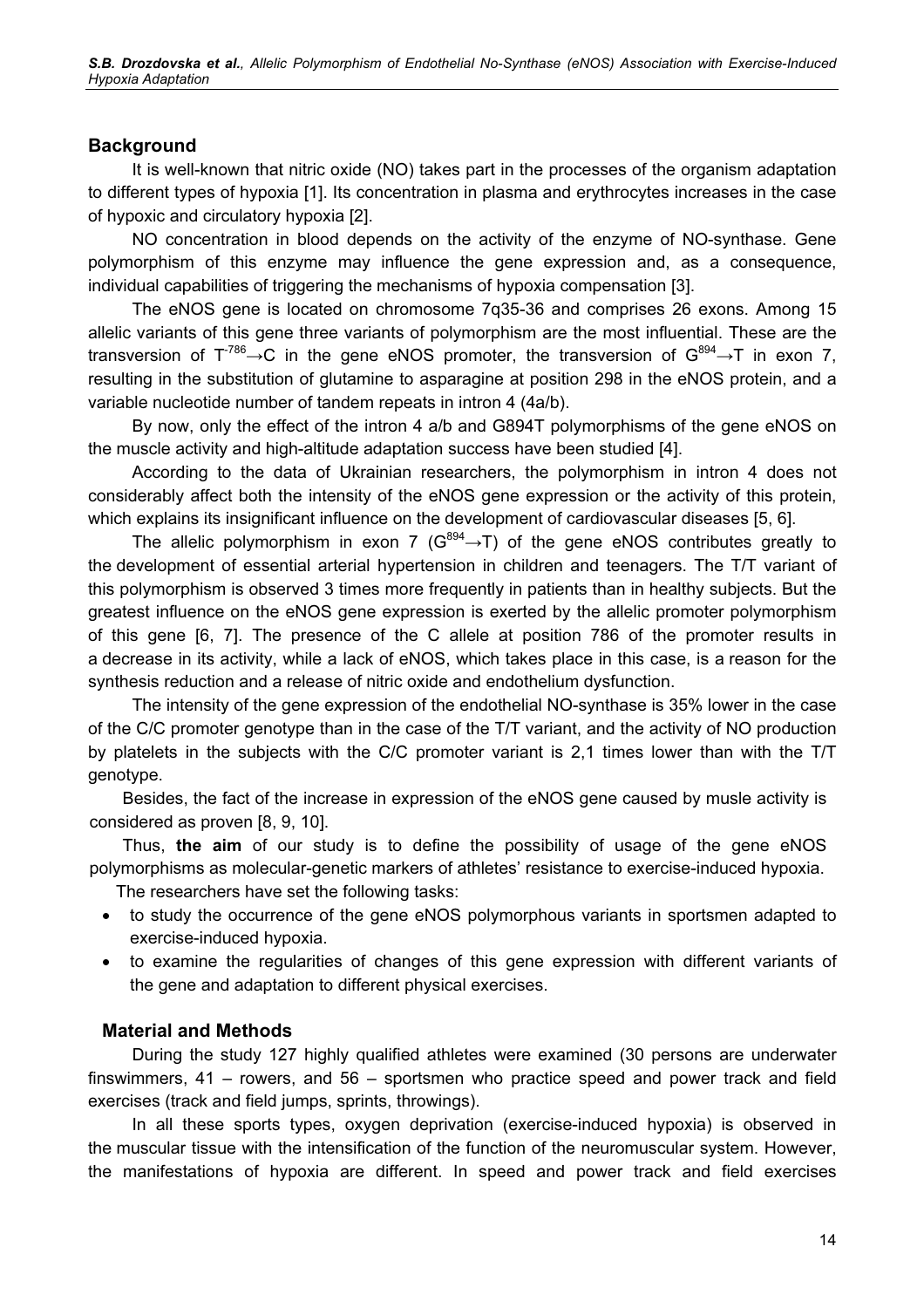#### **Background**

It is well-known that nitric oxide (NO) takes part in the processes of the organism adaptation to different types of hypoxia [1]. Its concentration in plasma and erythrocytes increases in the case of hypoxic and circulatory hypoxia [2].

NO concentration in blood depends on the activity of the enzyme of NO-synthase. Gene polymorphism of this enzyme may influence the gene expression and, as a consequence, individual capabilities of triggering the mechanisms of hypoxia compensation [3].

The eNOS gene is located on chromosome 7q35-36 and comprises 26 exons. Among 15 allelic variants of this gene three variants of polymorphism are the most influential. These are the transversion of  $T^{786} \rightarrow C$  in the gene eNOS promoter, the transversion of  $G^{894} \rightarrow T$  in exon 7, resulting in the substitution of glutamine to asparagine at position 298 in the eNOS protein, and a variable nucleotide number of tandem repeats in intron 4 (4a/b).

By now, only the effect of the intron 4 а/b and G894T polymorphisms of the gene eNOS on the muscle activity and high-altitude adaptation success have been studied [4].

According to the data of Ukrainian researchers, the polymorphism in intron 4 does not considerably affect both the intensity of the eNOS gene expression or the activity of this protein, which explains its insignificant influence on the development of cardiovascular diseases [5, 6].

The allelic polymorphism in exon 7 ( $G^{894} \rightarrow T$ ) of the gene eNOS contributes greatly to the development of essential arterial hypertension in children and teenagers. The Т/Т variant of this polymorphism is observed 3 times more frequently in patients than in healthy subjects. But the greatest influence on the eNOS gene expression is exerted by the allelic promoter polymorphism of this gene [6, 7]. The presence of the C allele at position 786 of the promoter results in a decrease in its activity, while a lack of eNOS, which takes place in this case, is a reason for the synthesis reduction and a release of nitric oxide and endothelium dysfunction.

The intensity of the gene expression of the endothelial NO-synthase is 35% lower in the case of the С/С promoter genotype than in the case of the Т/Т variant, and the activity of NO production by platelets in the subjects with the C/C promoter variant is 2,1 times lower than with the T/T genotype.

Besides, the fact of the increase in expression of the eNOS gene caused by musle activity is considered as proven [8, 9, 10].

Thus, the aim of our study is to define the possibility of usage of the gene eNOS polymorphisms as molecular-genetic markers of athletes' resistance to exercise-induced hypoxia.

The researchers have set the following tasks:

- to study the occurrence of the gene eNOS polymorphous variants in sportsmen adapted to exercise-induced hypoxia.
- to examine the regularities of changes of this gene expression with different variants of the gene and adaptation to different physical exercises.

#### Material and Methods

During the study 127 highly qualified athletes were examined (30 persons are underwater finswimmers, 41 – rowers, and 56 – sportsmen who practice speed and power track and field exercises (track and field jumps, sprints, throwings).

In all these sports types, oxygen deprivation (exercise-induced hypoxia) is observed in the muscular tissue with the intensification of the function of the neuromuscular system. However, the manifestations of hypoxia are different. In speed and power track and field exercises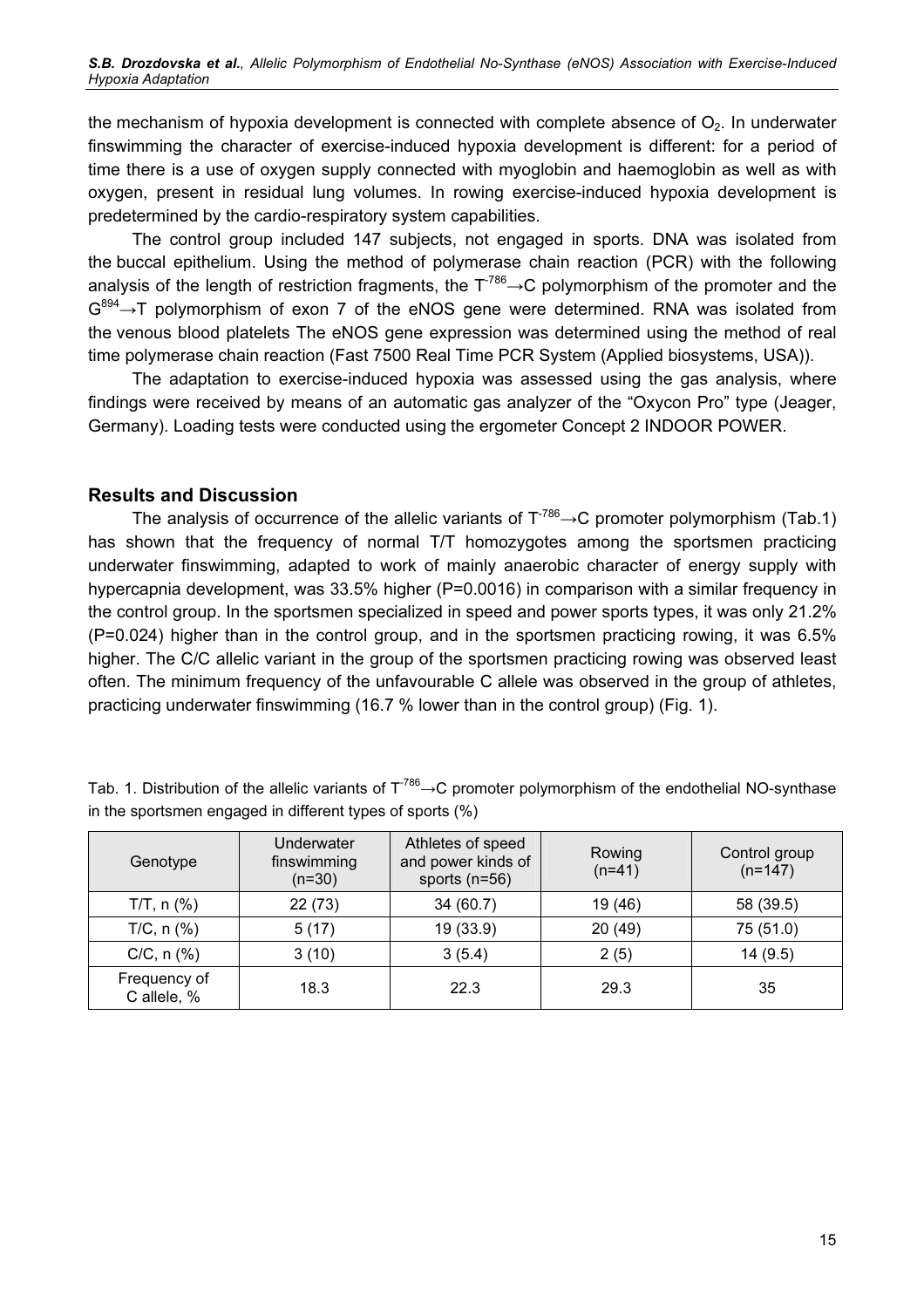the mechanism of hypoxia development is connected with complete absence of  $O<sub>2</sub>$ . In underwater finswimming the character of exercise-induced hypoxia development is different: for a period of time there is a use of oxygen supply connected with myoglobin and haemoglobin as well as with oxygen, present in residual lung volumes. In rowing exercise-induced hypoxia development is predetermined by the cardio-respiratory system capabilities.

The control group included 147 subjects, not engaged in sports. DNA was isolated from the buccal epithelium. Using the method of polymerase chain reaction (PCR) with the following analysis of the length of restriction fragments, the  $T^{786} \rightarrow C$  polymorphism of the promoter and the  $G^{894} \rightarrow T$  polymorphism of exon 7 of the eNOS gene were determined. RNA was isolated from the venous blood platelets The eNOS gene expression was determined using the method of real time polymerase chain reaction (Fast 7500 Real Time PCR System (Applied biosystems, USA)).

The adaptation to exercise-induced hypoxia was assessed using the gas analysis, where findings were received by means of an automatic gas analyzer of the "Oxycon Pro" type (Jeager, Germany). Loading tests were conducted using the ergometer Concept 2 INDOOR POWER.

#### Results and Discussion

The analysis of occurrence of the allelic variants of  $T^{786} \rightarrow C$  promoter polymorphism (Tab.1) has shown that the frequency of normal Т/Т homozygotes among the sportsmen practicing underwater finswimming, adapted to work of mainly anaerobic character of energy supply with hypercapnia development, was 33.5% higher (P=0.0016) in comparison with a similar frequency in the control group. In the sportsmen specialized in speed and power sports types, it was only 21.2% (Р=0.024) higher than in the control group, and in the sportsmen practicing rowing, it was 6.5% higher. The C/C allelic variant in the group of the sportsmen practicing rowing was observed least often. The minimum frequency of the unfavourable C allele was observed in the group of athletes, practicing underwater finswimming (16.7 % lower than in the control group) (Fig. 1).

| Genotype                    | Underwater<br>finswimming<br>$(n=30)$ | Athletes of speed<br>and power kinds of<br>sports $(n=56)$ | Rowing<br>$(n=41)$ | Control group<br>$(n=147)$ |
|-----------------------------|---------------------------------------|------------------------------------------------------------|--------------------|----------------------------|
| $T/T$ , n $(\%)$            | 22(73)                                | 34(60.7)                                                   | 19 (46)            | 58 (39.5)                  |
| $T/C$ , n $(\%)$            | 5(17)                                 | 19 (33.9)                                                  | 20 (49)            | 75 (51.0)                  |
| $C/C$ , n $(\%)$            | 3(10)                                 | 3(5.4)                                                     | 2(5)               | 14(9.5)                    |
| Frequency of<br>C allele, % | 18.3                                  | 22.3                                                       | 29.3               | 35                         |

| Tab. 1. Distribution of the allelic variants of $T^{786} \rightarrow C$ promoter polymorphism of the endothelial NO-synthase |  |  |  |
|------------------------------------------------------------------------------------------------------------------------------|--|--|--|
| in the sportsmen engaged in different types of sports (%)                                                                    |  |  |  |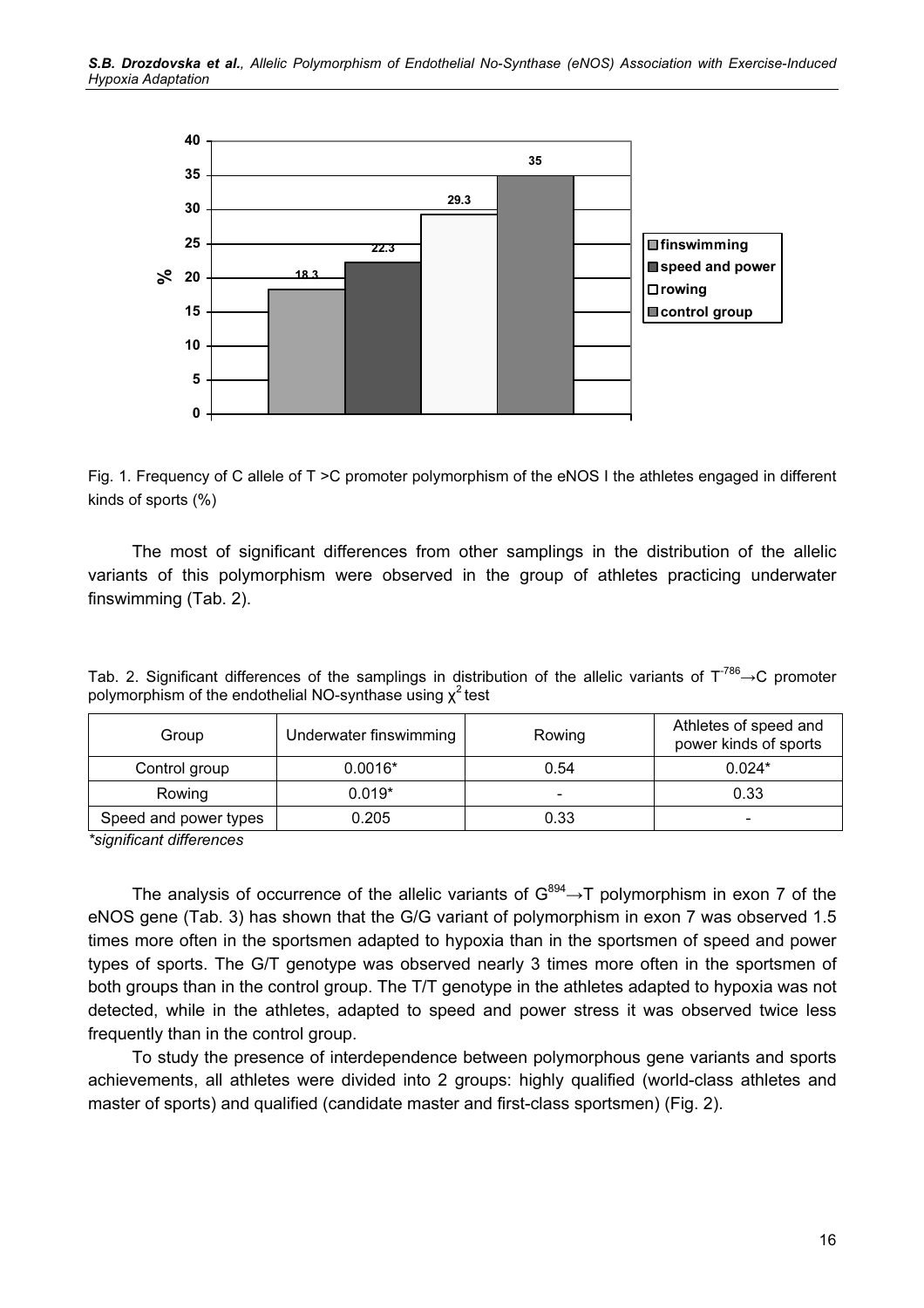

Fig. 1. Frequency of C allele of T >C promoter polymorphism of the eNOS I the athletes engaged in different kinds of sports (%)

The most of significant differences from other samplings in the distribution of the allelic variants of this polymorphism were observed in the group of athletes practicing underwater finswimming (Tab. 2).

| Group                 | Underwater finswimming | Rowing                   | Athletes of speed and<br>power kinds of sports |
|-----------------------|------------------------|--------------------------|------------------------------------------------|
| Control group         | $0.0016*$              | 0.54                     | $0.024*$                                       |
| Rowing                | $0.019*$               | $\overline{\phantom{0}}$ | 0.33                                           |
| Speed and power types | 0.205                  | 0.33                     | $\overline{\phantom{a}}$                       |

Tab. 2. Significant differences of the samplings in distribution of the allelic variants of  $T^{786} \rightarrow C$  promoter polymorphism of the endothelial NO-synthase using  $\chi^2$  test

\*significant differences

The analysis of occurrence of the allelic variants of  $G^{894} \rightarrow T$  polymorphism in exon 7 of the еNOS gene (Tab. 3) has shown that the G/G variant of polymorphism in exon 7 was observed 1.5 times more often in the sportsmen adapted to hypoxia than in the sportsmen of speed and power types of sports. The G/T genotype was observed nearly 3 times more often in the sportsmen of both groups than in the control group. The T/T genotype in the athletes adapted to hypoxia was not detected, while in the athletes, adapted to speed and power stress it was observed twice less frequently than in the control group.

To study the presence of interdependence between polymorphous gene variants and sports achievements, all athletes were divided into 2 groups: highly qualified (world-class athletes and master of sports) and qualified (candidate master and first-class sportsmen) (Fig. 2).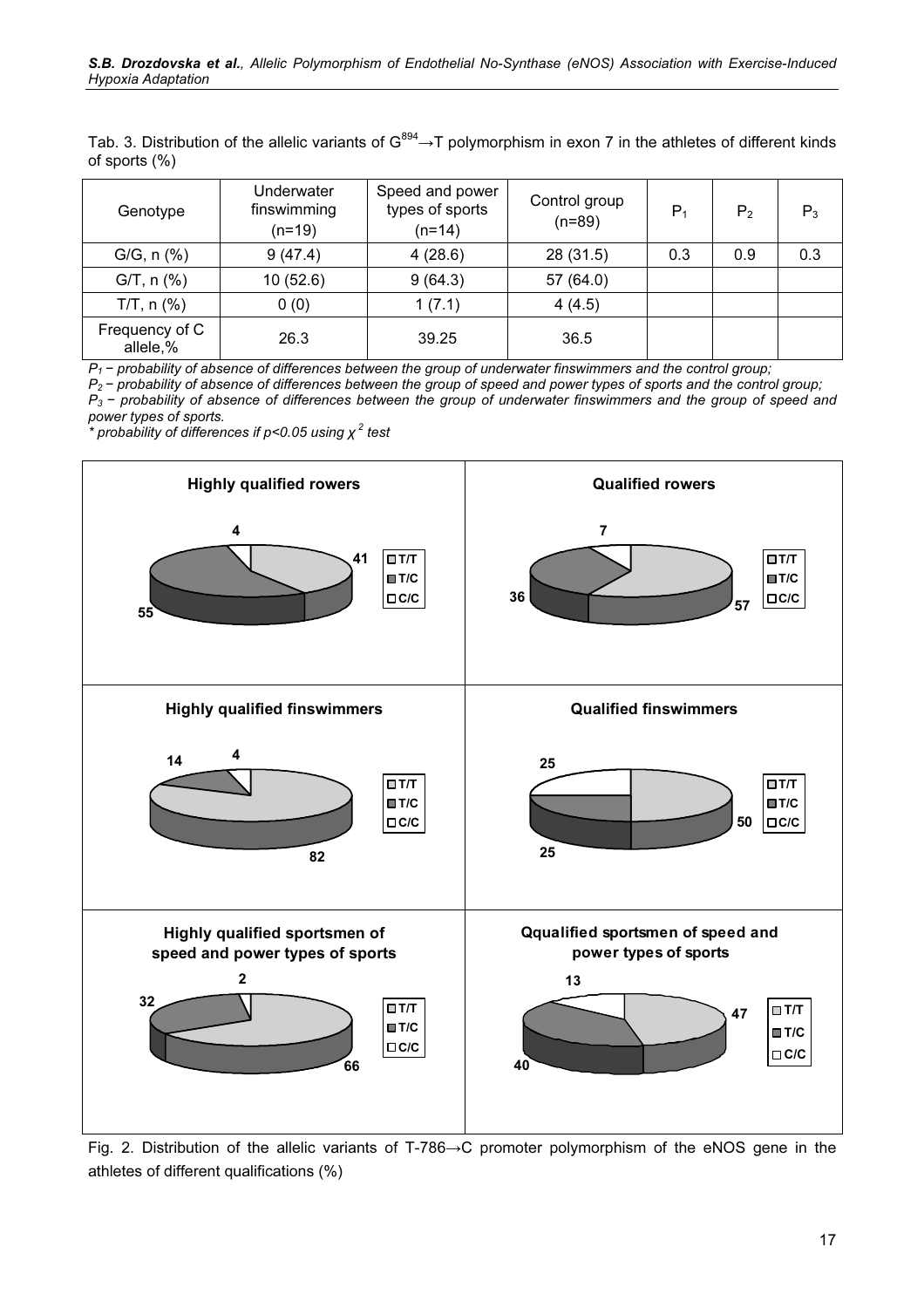Tab. 3. Distribution of the allelic variants of  $G^{894} \rightarrow T$  polymorphism in exon 7 in the athletes of different kinds of sports (%)

| Genotype                   | Underwater<br>finswimming<br>$(n=19)$ | Speed and power<br>types of sports<br>$(n=14)$ | Control group<br>$(n=89)$ | $P_1$ | P <sub>2</sub> | $P_3$ |
|----------------------------|---------------------------------------|------------------------------------------------|---------------------------|-------|----------------|-------|
| $G/G, n (\%)$              | 9(47.4)                               | 4(28.6)                                        | 28 (31.5)                 | 0.3   | 0.9            | 0.3   |
| $G/T$ , n $(\%)$           | 10(52.6)                              | 9(64.3)                                        | 57 (64.0)                 |       |                |       |
| $T/T$ , n $(\%)$           | 0(0)                                  | 1(7.1)                                         | 4(4.5)                    |       |                |       |
| Frequency of C<br>allele,% | 26.3                                  | 39.25                                          | 36.5                      |       |                |       |

P<sub>1</sub> − probability of absence of differences between the group of underwater finswimmers and the control group;

P<sub>2</sub> − probability of absence of differences between the group of speed and power types of sports and the control group; P<sub>3</sub> − probability of absence of differences between the group of underwater finswimmers and the group of speed and power types of sports.

 $\star$  probability of differences if p<0.05 using  $\chi^2$  test



Fig. 2. Distribution of the allelic variants of Т-786→С promoter polymorphism of the eNOS gene in the athletes of different qualifications (%)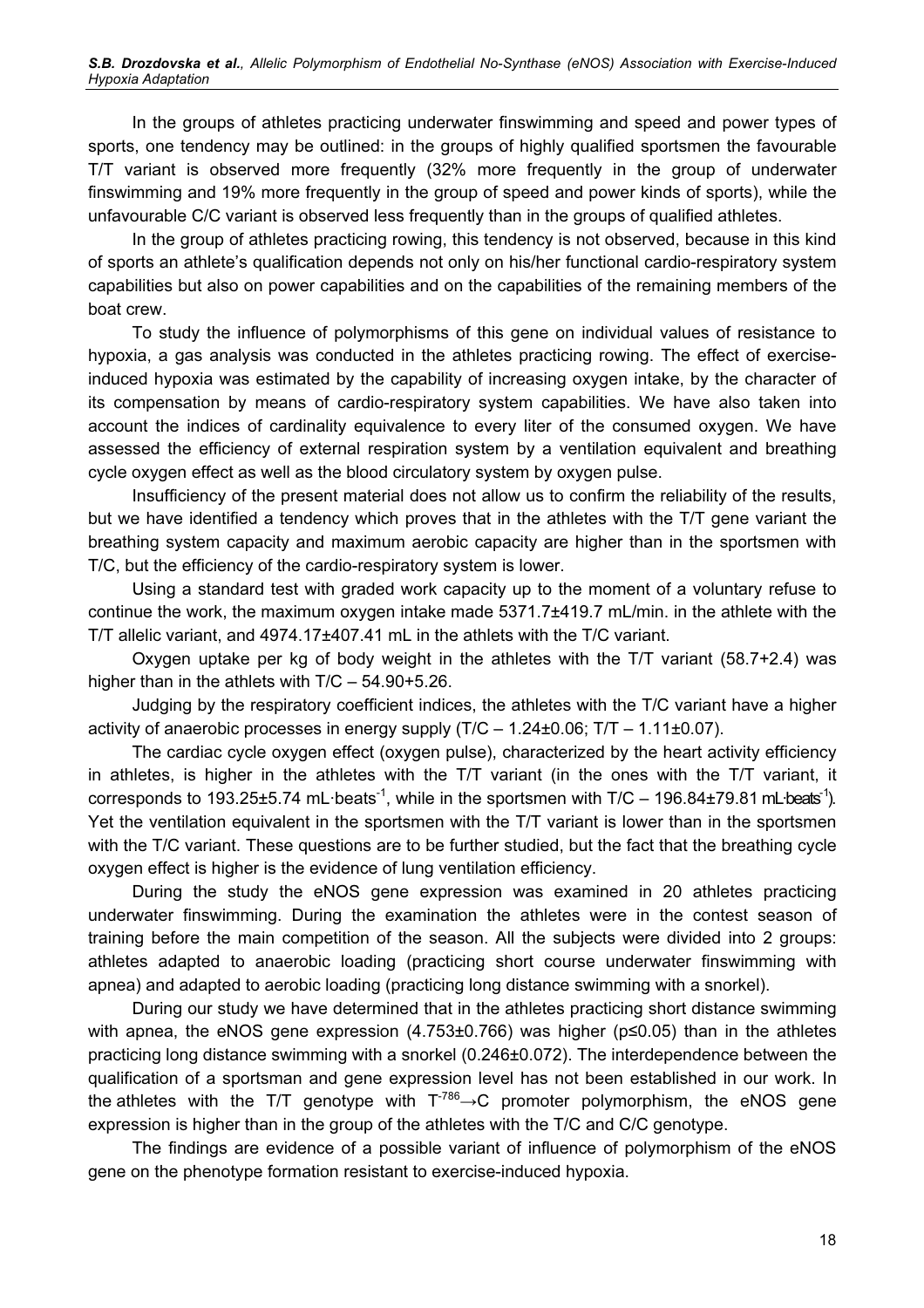In the groups of athletes practicing underwater finswimming and speed and power types of sports, one tendency may be outlined: in the groups of highly qualified sportsmen the favourable Т/Т variant is observed more frequently (32% more frequently in the group of underwater finswimming and 19% more frequently in the group of speed and power kinds of sports), while the unfavourable С/С variant is observed less frequently than in the groups of qualified athletes.

In the group of athletes practicing rowing, this tendency is not observed, because in this kind of sports an athlete's qualification depends not only on his/her functional cardio-respiratory system capabilities but also on power capabilities and on the capabilities of the remaining members of the boat crew.

To study the influence of polymorphisms of this gene on individual values of resistance to hypoxia, a gas analysis was conducted in the athletes practicing rowing. The effect of exerciseinduced hypoxia was estimated by the capability of increasing oxygen intake, by the character of its compensation by means of cardio-respiratory system capabilities. We have also taken into account the indices of cardinality equivalence to every liter of the consumed oxygen. We have assessed the efficiency of external respiration system by a ventilation equivalent and breathing cycle oxygen effect as well as the blood circulatory system by oxygen pulse.

Insufficiency of the present material does not allow us to confirm the reliability of the results, but we have identified a tendency which proves that in the athletes with the T/T gene variant the breathing system capacity and maximum aerobic capacity are higher than in the sportsmen with Т/С, but the efficiency of the cardio-respiratory system is lower.

Using a standard test with graded work capacity up to the moment of a voluntary refuse to continue the work, the maximum oxygen intake made 5371.7±419.7 mL/min. in the athlete with the Т/Т allelic variant, and 4974.17±407.41 mL in the athlets with the Т/С variant.

Oxygen uptake per kg of body weight in the athletes with the Т/Т variant (58.7+2.4) was higher than in the athlets with T/C - 54.90+5.26.

Judging by the respiratory coefficient indices, the athletes with the Т/С variant have a higher activity of anaerobic processes in energy supply (Т/С – 1.24±0.06; Т/Т – 1.11±0.07).

The cardiac cycle oxygen effect (oxygen pulse), characterized by the heart activity efficiency in athletes, is higher in the athletes with the Т/Т variant (in the ones with the Т/Т variant, it corresponds to 193.25 $\pm$ 5.74 mL·beats<sup>-1</sup>, while in the sportsmen with T/C – 196.84 $\pm$ 79.81 mL·beats<sup>-1</sup>). Yet the ventilation equivalent in the sportsmen with the Т/Т variant is lower than in the sportsmen with the T/C variant. These questions are to be further studied, but the fact that the breathing cycle oxygen effect is higher is the evidence of lung ventilation efficiency.

During the study the eNOS gene expression was examined in 20 athletes practicing underwater finswimming. During the examination the athletes were in the contest season of training before the main competition of the season. All the subjects were divided into 2 groups: athletes adapted to anaerobic loading (practicing short course underwater finswimming with apnea) and adapted to aerobic loading (practicing long distance swimming with a snorkel).

During our study we have determined that in the athletes practicing short distance swimming with apnea, the eNOS gene expression  $(4.753\pm0.766)$  was higher ( $p\leq 0.05$ ) than in the athletes practicing long distance swimming with a snorkel (0.246±0.072). The interdependence between the qualification of a sportsman and gene expression level has not been established in our work. In the athletes with the T/T genotype with  $T^{786} \rightarrow C$  promoter polymorphism, the eNOS gene expression is higher than in the group of the athletes with the Т/С and С/С genotype.

The findings are evidence of a possible variant of influence of polymorphism of the eNOS gene on the phenotype formation resistant to exercise-induced hypoxia.